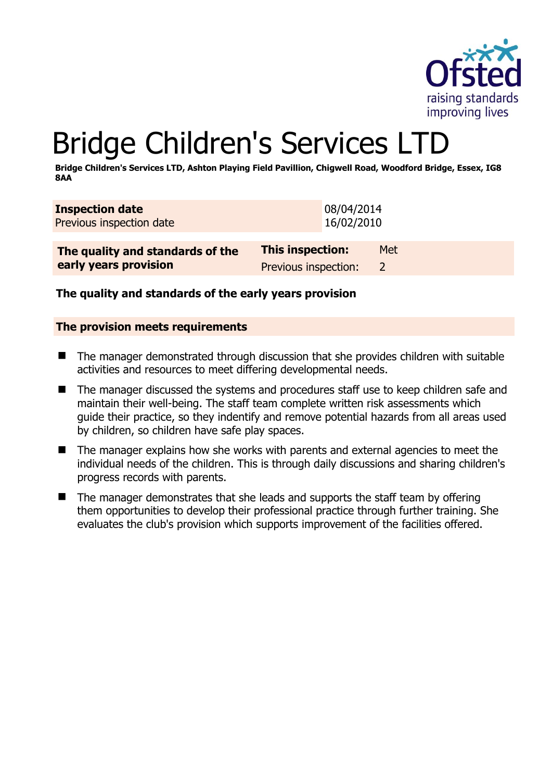

# Bridge Children's Services LTD

**Bridge Children's Services LTD, Ashton Playing Field Pavillion, Chigwell Road, Woodford Bridge, Essex, IG8 8AA** 

| <b>Inspection date</b><br>Previous inspection date | 08/04/2014<br>16/02/2010 |       |
|----------------------------------------------------|--------------------------|-------|
| The quality and standards of the                   | <b>This inspection:</b>  | Met l |

**The quality and standards of the early years provision** Previous inspection: 2

**The quality and standards of the early years provision**

#### **The provision meets requirements**

- The manager demonstrated through discussion that she provides children with suitable activities and resources to meet differing developmental needs.
- $\blacksquare$  The manager discussed the systems and procedures staff use to keep children safe and maintain their well-being. The staff team complete written risk assessments which guide their practice, so they indentify and remove potential hazards from all areas used by children, so children have safe play spaces.
- The manager explains how she works with parents and external agencies to meet the individual needs of the children. This is through daily discussions and sharing children's progress records with parents.
- The manager demonstrates that she leads and supports the staff team by offering them opportunities to develop their professional practice through further training. She evaluates the club's provision which supports improvement of the facilities offered.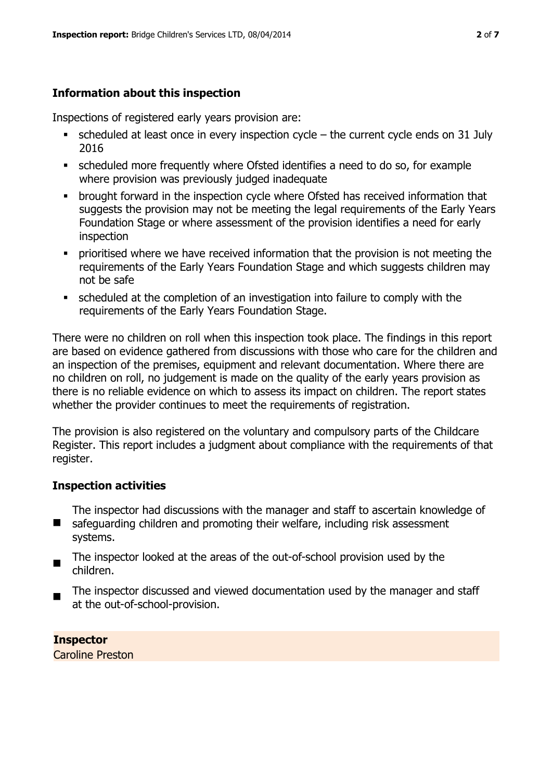## **Information about this inspection**

Inspections of registered early years provision are:

- scheduled at least once in every inspection cycle the current cycle ends on 31 July 2016
- scheduled more frequently where Ofsted identifies a need to do so, for example where provision was previously judged inadequate
- **•** brought forward in the inspection cycle where Ofsted has received information that suggests the provision may not be meeting the legal requirements of the Early Years Foundation Stage or where assessment of the provision identifies a need for early inspection
- **•** prioritised where we have received information that the provision is not meeting the requirements of the Early Years Foundation Stage and which suggests children may not be safe
- scheduled at the completion of an investigation into failure to comply with the requirements of the Early Years Foundation Stage.

There were no children on roll when this inspection took place. The findings in this report are based on evidence gathered from discussions with those who care for the children and an inspection of the premises, equipment and relevant documentation. Where there are no children on roll, no judgement is made on the quality of the early years provision as there is no reliable evidence on which to assess its impact on children. The report states whether the provider continues to meet the requirements of registration.

The provision is also registered on the voluntary and compulsory parts of the Childcare Register. This report includes a judgment about compliance with the requirements of that register.

#### **Inspection activities**

The inspector had discussions with the manager and staff to ascertain knowledge of

- $\blacksquare$ safeguarding children and promoting their welfare, including risk assessment systems.
- $\blacksquare$ The inspector looked at the areas of the out-of-school provision used by the children.
- $\blacksquare$ The inspector discussed and viewed documentation used by the manager and staff at the out-of-school-provision.

#### **Inspector**

Caroline Preston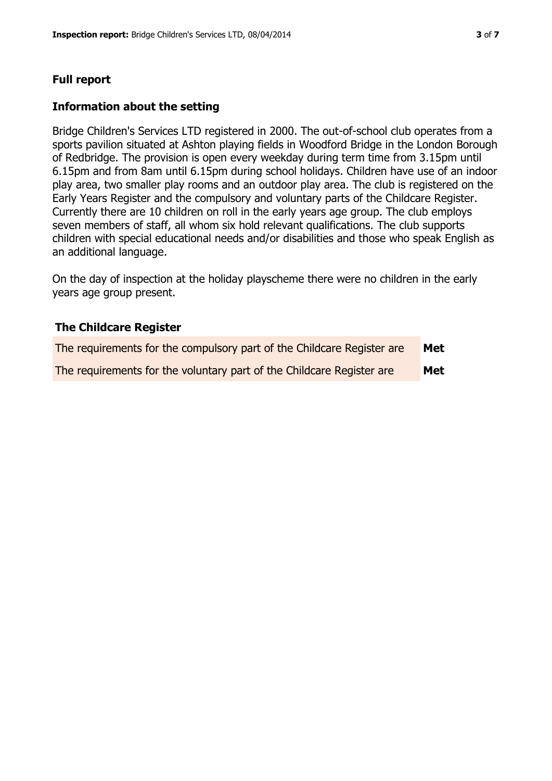# **Full report**

#### **Information about the setting**

Bridge Children's Services LTD registered in 2000. The out-of-school club operates from a sports pavilion situated at Ashton playing fields in Woodford Bridge in the London Borough of Redbridge. The provision is open every weekday during term time from 3.15pm until 6.15pm and from 8am until 6.15pm during school holidays. Children have use of an indoor play area, two smaller play rooms and an outdoor play area. The club is registered on the Early Years Register and the compulsory and voluntary parts of the Childcare Register. Currently there are 10 children on roll in the early years age group. The club employs seven members of staff, all whom six hold relevant qualifications. The club supports children with special educational needs and/or disabilities and those who speak English as an additional language.

On the day of inspection at the holiday playscheme there were no children in the early years age group present.

#### **The Childcare Register**

| The requirements for the compulsory part of the Childcare Register are | Met |
|------------------------------------------------------------------------|-----|
| The requirements for the voluntary part of the Childcare Register are  | Met |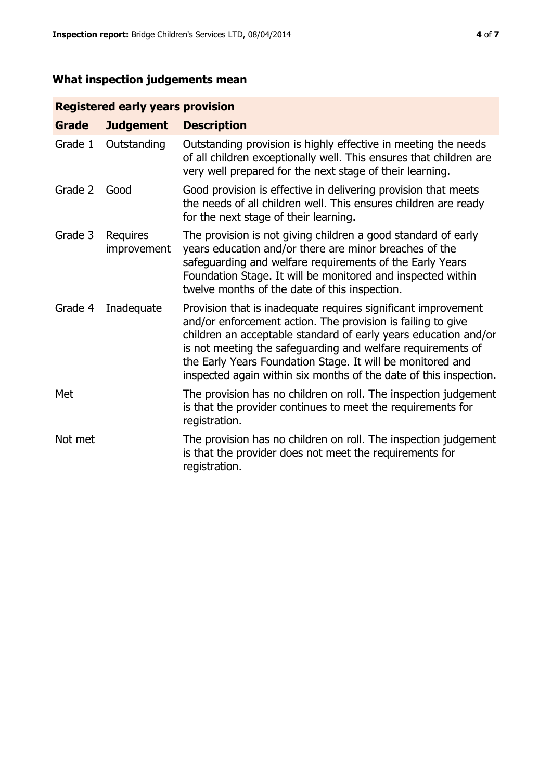# **What inspection judgements mean**

## **Registered early years provision**

| <b>Grade</b> | <b>Judgement</b>               | <b>Description</b>                                                                                                                                                                                                                                                                                                                                                                                |
|--------------|--------------------------------|---------------------------------------------------------------------------------------------------------------------------------------------------------------------------------------------------------------------------------------------------------------------------------------------------------------------------------------------------------------------------------------------------|
| Grade 1      | Outstanding                    | Outstanding provision is highly effective in meeting the needs<br>of all children exceptionally well. This ensures that children are<br>very well prepared for the next stage of their learning.                                                                                                                                                                                                  |
| Grade 2      | Good                           | Good provision is effective in delivering provision that meets<br>the needs of all children well. This ensures children are ready<br>for the next stage of their learning.                                                                                                                                                                                                                        |
| Grade 3      | <b>Requires</b><br>improvement | The provision is not giving children a good standard of early<br>years education and/or there are minor breaches of the<br>safeguarding and welfare requirements of the Early Years<br>Foundation Stage. It will be monitored and inspected within<br>twelve months of the date of this inspection.                                                                                               |
| Grade 4      | Inadequate                     | Provision that is inadequate requires significant improvement<br>and/or enforcement action. The provision is failing to give<br>children an acceptable standard of early years education and/or<br>is not meeting the safeguarding and welfare requirements of<br>the Early Years Foundation Stage. It will be monitored and<br>inspected again within six months of the date of this inspection. |
| Met          |                                | The provision has no children on roll. The inspection judgement<br>is that the provider continues to meet the requirements for<br>registration.                                                                                                                                                                                                                                                   |
| Not met      |                                | The provision has no children on roll. The inspection judgement<br>is that the provider does not meet the requirements for<br>registration.                                                                                                                                                                                                                                                       |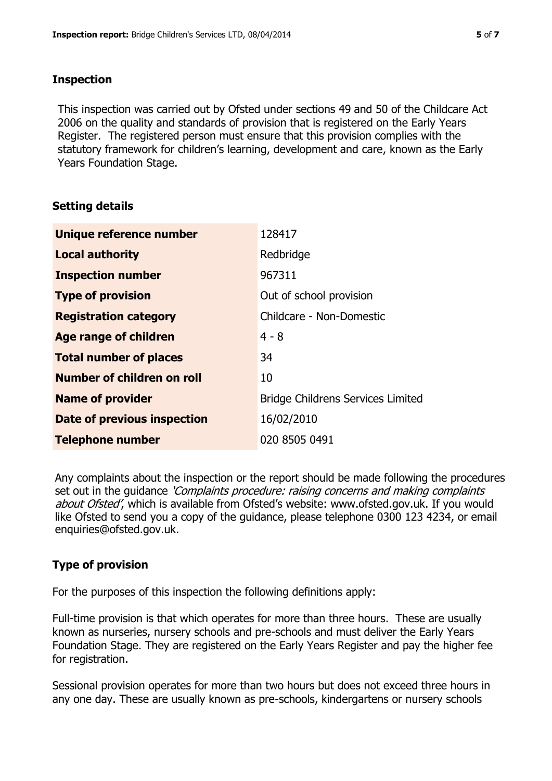#### **Inspection**

This inspection was carried out by Ofsted under sections 49 and 50 of the Childcare Act 2006 on the quality and standards of provision that is registered on the Early Years Register. The registered person must ensure that this provision complies with the statutory framework for children's learning, development and care, known as the Early Years Foundation Stage.

#### **Setting details**

| Unique reference number            | 128417                                   |
|------------------------------------|------------------------------------------|
| <b>Local authority</b>             | Redbridge                                |
| <b>Inspection number</b>           | 967311                                   |
| <b>Type of provision</b>           | Out of school provision                  |
| <b>Registration category</b>       | Childcare - Non-Domestic                 |
| Age range of children              | $4 - 8$                                  |
| <b>Total number of places</b>      | 34                                       |
| Number of children on roll         | 10                                       |
| <b>Name of provider</b>            | <b>Bridge Childrens Services Limited</b> |
| <b>Date of previous inspection</b> | 16/02/2010                               |
| <b>Telephone number</b>            | 020 8505 0491                            |

Any complaints about the inspection or the report should be made following the procedures set out in the guidance *'Complaints procedure: raising concerns and making complaints* about Ofsted', which is available from Ofsted's website: www.ofsted.gov.uk. If you would like Ofsted to send you a copy of the guidance, please telephone 0300 123 4234, or email enquiries@ofsted.gov.uk.

# **Type of provision**

For the purposes of this inspection the following definitions apply:

Full-time provision is that which operates for more than three hours. These are usually known as nurseries, nursery schools and pre-schools and must deliver the Early Years Foundation Stage. They are registered on the Early Years Register and pay the higher fee for registration.

Sessional provision operates for more than two hours but does not exceed three hours in any one day. These are usually known as pre-schools, kindergartens or nursery schools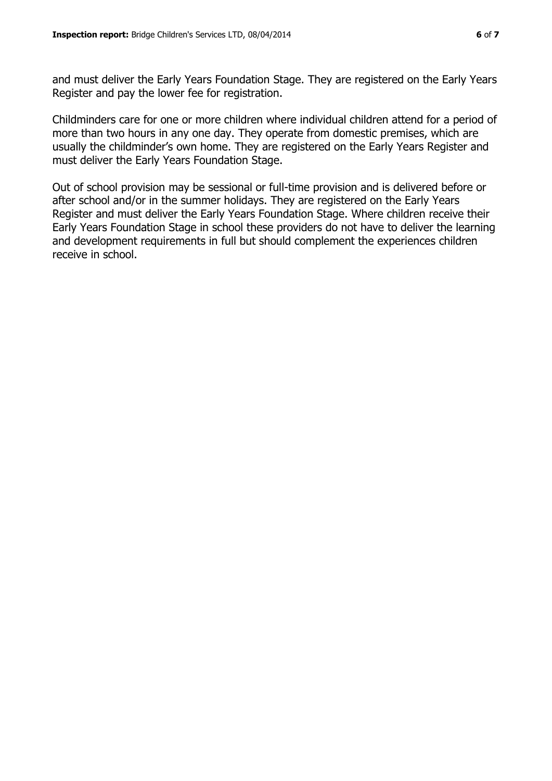and must deliver the Early Years Foundation Stage. They are registered on the Early Years Register and pay the lower fee for registration.

Childminders care for one or more children where individual children attend for a period of more than two hours in any one day. They operate from domestic premises, which are usually the childminder's own home. They are registered on the Early Years Register and must deliver the Early Years Foundation Stage.

Out of school provision may be sessional or full-time provision and is delivered before or after school and/or in the summer holidays. They are registered on the Early Years Register and must deliver the Early Years Foundation Stage. Where children receive their Early Years Foundation Stage in school these providers do not have to deliver the learning and development requirements in full but should complement the experiences children receive in school.